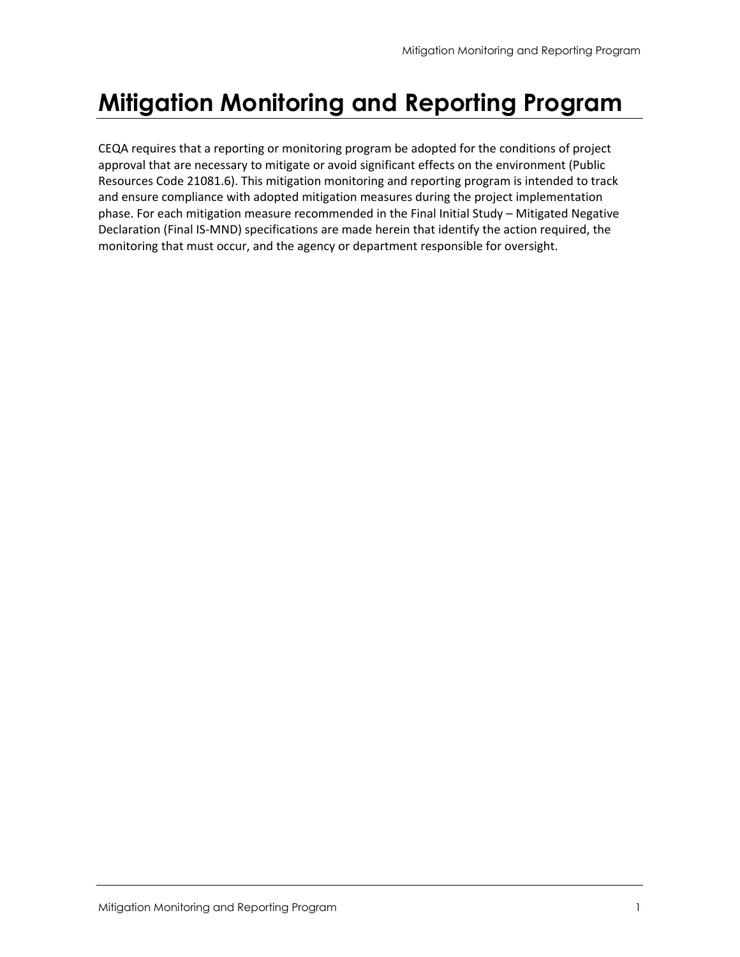# **Mitigation Monitoring and Reporting Program**

CEQA requires that a reporting or monitoring program be adopted for the conditions of project approval that are necessary to mitigate or avoid significant effects on the environment (Public Resources Code 21081.6). This mitigation monitoring and reporting program is intended to track and ensure compliance with adopted mitigation measures during the project implementation phase. For each mitigation measure recommended in the Final Initial Study – Mitigated Negative Declaration (Final IS‐MND) specifications are made herein that identify the action required, the monitoring that must occur, and the agency or department responsible for oversight.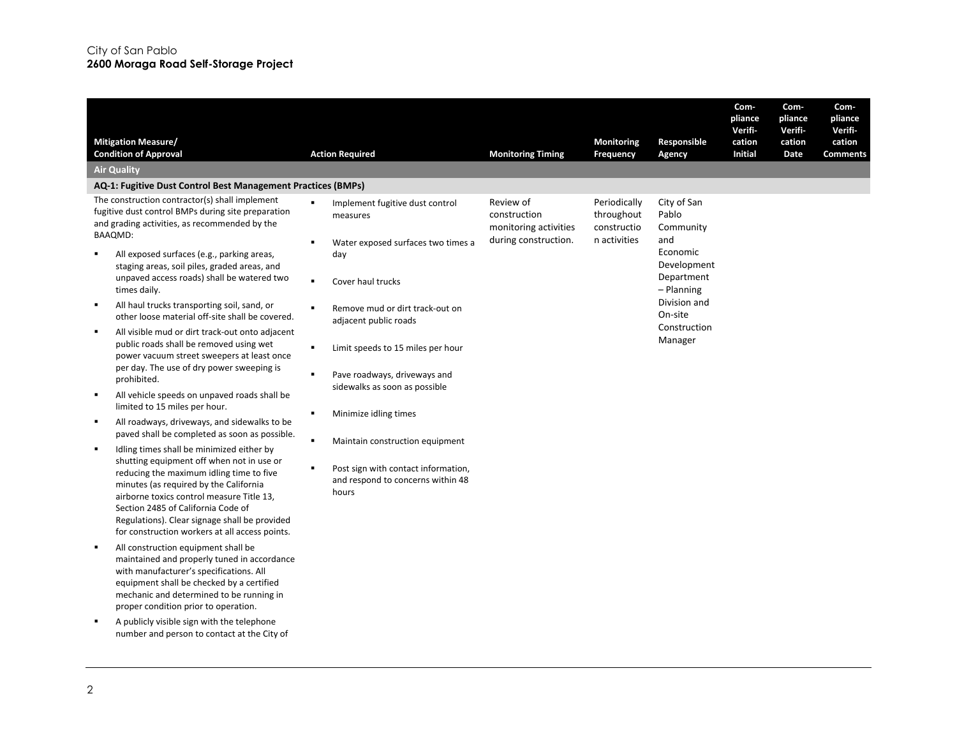| <b>Mitigation Measure/</b><br><b>Condition of Approval</b>                                                                                                                                                                                                                                                                                                                                                                                                                                                                                                                                                                                                                                                                                                                                                                                                                                                                                                                                                                                                                                                                                                                                                                                                                                                                                                                                                                                                                    | <b>Action Required</b>                                                                                                                                                                                                                                                                                                                                                                                                                                                                                                            | <b>Monitoring Timing</b>                                                   | Monitoring<br>Frequency                                   | Responsible<br>Agency                                                                                                                                 | Com-<br>pliance<br>Verifi-<br>cation<br><b>Initial</b> | Com-<br>pliance<br>Verifi-<br>cation<br>Date | Com-<br>pliance<br>Verifi-<br>cation<br><b>Comments</b> |
|-------------------------------------------------------------------------------------------------------------------------------------------------------------------------------------------------------------------------------------------------------------------------------------------------------------------------------------------------------------------------------------------------------------------------------------------------------------------------------------------------------------------------------------------------------------------------------------------------------------------------------------------------------------------------------------------------------------------------------------------------------------------------------------------------------------------------------------------------------------------------------------------------------------------------------------------------------------------------------------------------------------------------------------------------------------------------------------------------------------------------------------------------------------------------------------------------------------------------------------------------------------------------------------------------------------------------------------------------------------------------------------------------------------------------------------------------------------------------------|-----------------------------------------------------------------------------------------------------------------------------------------------------------------------------------------------------------------------------------------------------------------------------------------------------------------------------------------------------------------------------------------------------------------------------------------------------------------------------------------------------------------------------------|----------------------------------------------------------------------------|-----------------------------------------------------------|-------------------------------------------------------------------------------------------------------------------------------------------------------|--------------------------------------------------------|----------------------------------------------|---------------------------------------------------------|
| <b>Air Quality</b>                                                                                                                                                                                                                                                                                                                                                                                                                                                                                                                                                                                                                                                                                                                                                                                                                                                                                                                                                                                                                                                                                                                                                                                                                                                                                                                                                                                                                                                            |                                                                                                                                                                                                                                                                                                                                                                                                                                                                                                                                   |                                                                            |                                                           |                                                                                                                                                       |                                                        |                                              |                                                         |
| AQ-1: Fugitive Dust Control Best Management Practices (BMPs)                                                                                                                                                                                                                                                                                                                                                                                                                                                                                                                                                                                                                                                                                                                                                                                                                                                                                                                                                                                                                                                                                                                                                                                                                                                                                                                                                                                                                  |                                                                                                                                                                                                                                                                                                                                                                                                                                                                                                                                   |                                                                            |                                                           |                                                                                                                                                       |                                                        |                                              |                                                         |
| The construction contractor(s) shall implement<br>fugitive dust control BMPs during site preparation<br>and grading activities, as recommended by the<br><b>BAAQMD:</b><br>All exposed surfaces (e.g., parking areas,<br>staging areas, soil piles, graded areas, and<br>unpaved access roads) shall be watered two<br>times daily.<br>All haul trucks transporting soil, sand, or<br>$\blacksquare$<br>other loose material off-site shall be covered.<br>All visible mud or dirt track-out onto adjacent<br>public roads shall be removed using wet<br>power vacuum street sweepers at least once<br>per day. The use of dry power sweeping is<br>prohibited.<br>All vehicle speeds on unpaved roads shall be<br>$\blacksquare$<br>limited to 15 miles per hour.<br>All roadways, driveways, and sidewalks to be<br>٠<br>paved shall be completed as soon as possible.<br>Idling times shall be minimized either by<br>shutting equipment off when not in use or<br>reducing the maximum idling time to five<br>minutes (as required by the California<br>airborne toxics control measure Title 13,<br>Section 2485 of California Code of<br>Regulations). Clear signage shall be provided<br>for construction workers at all access points.<br>All construction equipment shall be<br>٠<br>maintained and properly tuned in accordance<br>with manufacturer's specifications. All<br>equipment shall be checked by a certified<br>mechanic and determined to be running in | Implement fugitive dust control<br>٠<br>measures<br>п<br>Water exposed surfaces two times a<br>day<br>$\blacksquare$<br>Cover haul trucks<br>$\blacksquare$<br>Remove mud or dirt track-out on<br>adjacent public roads<br>$\blacksquare$<br>Limit speeds to 15 miles per hour<br>Pave roadways, driveways and<br>٠<br>sidewalks as soon as possible<br>Minimize idling times<br>٠<br>٠<br>Maintain construction equipment<br>$\blacksquare$<br>Post sign with contact information,<br>and respond to concerns within 48<br>hours | Review of<br>construction<br>monitoring activities<br>during construction. | Periodically<br>throughout<br>constructio<br>n activities | City of San<br>Pablo<br>Community<br>and<br>Economic<br>Development<br>Department<br>- Planning<br>Division and<br>On-site<br>Construction<br>Manager |                                                        |                                              |                                                         |
| proper condition prior to operation.<br>A publicly visible sign with the telephone<br>number and person to contact at the City of                                                                                                                                                                                                                                                                                                                                                                                                                                                                                                                                                                                                                                                                                                                                                                                                                                                                                                                                                                                                                                                                                                                                                                                                                                                                                                                                             |                                                                                                                                                                                                                                                                                                                                                                                                                                                                                                                                   |                                                                            |                                                           |                                                                                                                                                       |                                                        |                                              |                                                         |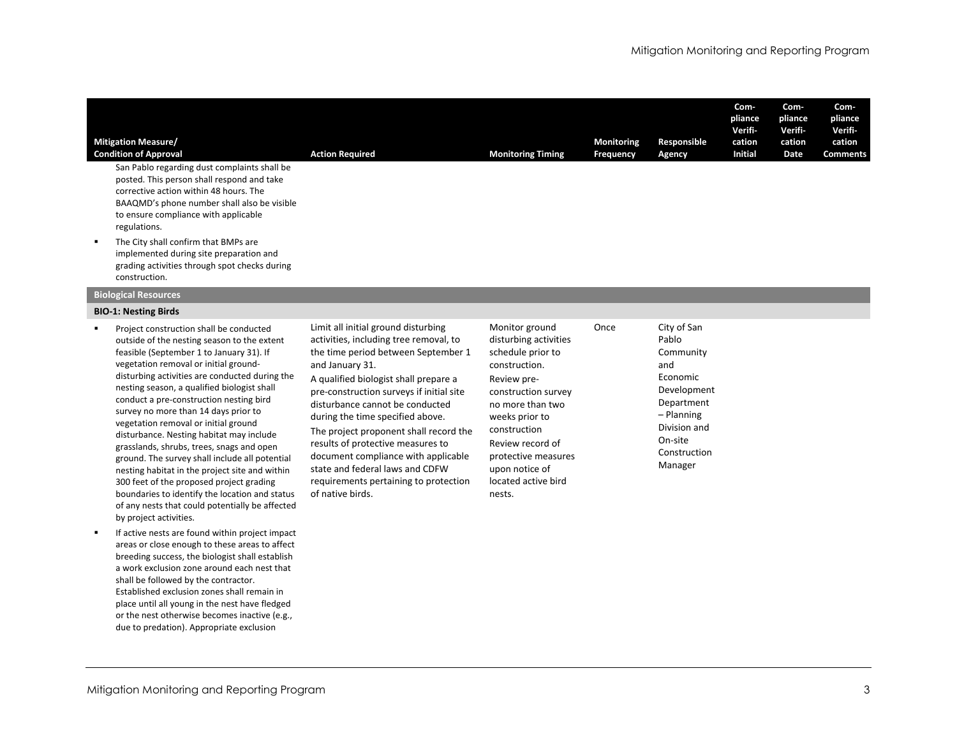| <b>Mitigation Measure/</b><br><b>Condition of Approval</b>                                                                                                                                                                                  | <b>Action Required</b> | <b>Monitoring Timing</b> | <b>Monitoring</b><br><b>Frequency</b> | Responsible<br>Agency | Com-<br>pliance<br><b>Verifi</b><br>cation<br><b>Initial</b> | Com-<br>pliance<br><b>Verifi</b><br>cation<br>Date | Com-<br>pliance<br>Verifi-<br>cation<br><b>Comments</b> |
|---------------------------------------------------------------------------------------------------------------------------------------------------------------------------------------------------------------------------------------------|------------------------|--------------------------|---------------------------------------|-----------------------|--------------------------------------------------------------|----------------------------------------------------|---------------------------------------------------------|
| San Pablo regarding dust complaints shall be<br>posted. This person shall respond and take<br>corrective action within 48 hours. The<br>BAAQMD's phone number shall also be visible<br>to ensure compliance with applicable<br>regulations. |                        |                          |                                       |                       |                                                              |                                                    |                                                         |
| The City shall confirm that BMPs are<br>implemented during site preparation and<br>grading activities through spot checks during<br>construction.                                                                                           |                        |                          |                                       |                       |                                                              |                                                    |                                                         |

## **Biological Resources**

### **BIO‐1: Nesting Birds**

- $\blacksquare$  Project construction shall be conducted outside of the nesting season to the extent feasible (September 1 to January 31). If vegetation removal or initial ground‐ disturbing activities are conducted during the nesting season, <sup>a</sup> qualified biologist shall conduct a pre‐construction nesting bird survey no more than 14 days prior to vegetation removal or initial ground disturbance. Nesting habitat may include grasslands, shrubs, trees, snags and open ground. The survey shall include all potential nesting habitat in the project site and within 300 feet of the proposed project grading boundaries to identify the location and status of any nests that could potentially be affected by project activities.
- $\blacksquare$ **If active nests are found within project impact** areas or close enough to these areas to affect breeding success, the biologist shall establish a work exclusion zone around each nest that shall be followed by the contractor. Established exclusion zones shall remain in place until all young in the nest have fledged or the nest otherwise becomes inactive (e.g., due to predation). Appropriate exclusion

Limit all initial ground disturbing activities, including tree removal, to the time period between September 1 and January 31.

A qualified biologist shall prepare <sup>a</sup> pre‐construction surveys if initial site disturbance cannot be conducted during the time specified above. The project proponent shall record the results of protective measures to document compliance with applicable state and federal laws and CDFWrequirements pertaining to protection of native birds.

Monitor ground disturbing activities schedule prior to construction. Review pre‐ construction survey no more than two weeks prior to construction Review record of protective measures upon notice of located active bird Once

nests.

 City of San PabloCommunity andEconomicDevelopment Department – Planning Division and On‐siteConstructionManager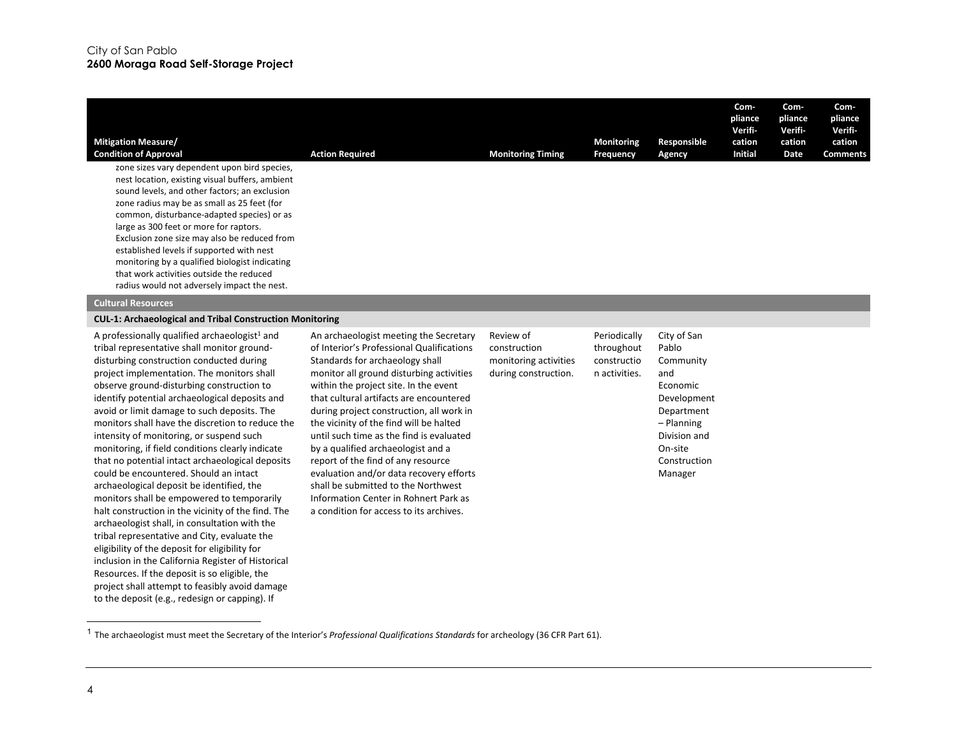| <b>Mitigation Measure/</b><br><b>Condition of Approval</b> | <b>Action Required</b> | <b>Monitoring Timing</b> | <b>Monitoring</b><br><b>Frequency</b> | Responsible<br>Agency | Com-<br>pliance<br>Verifi-<br>cation<br><b>Initial</b> | Com-<br>pliance<br>Verifi-<br>cation<br>Date | Com-<br>pliance<br>Verifi-<br>cation<br><b>Comments</b> |
|------------------------------------------------------------|------------------------|--------------------------|---------------------------------------|-----------------------|--------------------------------------------------------|----------------------------------------------|---------------------------------------------------------|
| zone sizes vary dependent upon bird species,               |                        |                          |                                       |                       |                                                        |                                              |                                                         |
| nest location, existing visual buffers, ambient            |                        |                          |                                       |                       |                                                        |                                              |                                                         |
| sound levels, and other factors; an exclusion              |                        |                          |                                       |                       |                                                        |                                              |                                                         |
| zone radius may be as small as 25 feet (for                |                        |                          |                                       |                       |                                                        |                                              |                                                         |
| common, disturbance-adapted species) or as                 |                        |                          |                                       |                       |                                                        |                                              |                                                         |
| large as 300 feet or more for raptors.                     |                        |                          |                                       |                       |                                                        |                                              |                                                         |
| Exclusion zone size may also be reduced from               |                        |                          |                                       |                       |                                                        |                                              |                                                         |
| established levels if supported with nest                  |                        |                          |                                       |                       |                                                        |                                              |                                                         |
| monitoring by a qualified biologist indicating             |                        |                          |                                       |                       |                                                        |                                              |                                                         |
| that work activities outside the reduced                   |                        |                          |                                       |                       |                                                        |                                              |                                                         |
| radius would not adversely impact the nest.                |                        |                          |                                       |                       |                                                        |                                              |                                                         |
| Cultured Desertimes                                        |                        |                          |                                       |                       |                                                        |                                              |                                                         |

#### **Cultural Resources**

### **CUL‐1: Archaeological and Tribal Construction Monitoring**

A professionally qualified archaeologist<sup>1</sup> and tribal representative shall monitor ground‐ disturbing construction conducted during project implementation. The monitors shall observe ground‐disturbing construction to identify potential archaeological deposits and avoid or limit damage to such deposits. The monitors shall have the discretion to reduce the intensity of monitoring, or suspend such monitoring, if field conditions clearly indicate that no potential intact archaeological deposits could be encountered. Should an intact archaeological deposit be identified, the monitors shall be empowered to temporarily halt construction in the vicinity of the find. The archaeologist shall, in consultation with the tribal representative and City, evaluate the eligibility of the deposit for eligibility for inclusion in the California Register of Historical Resources. If the deposit is so eligible, the project shall attempt to feasibly avoid damage to the deposit (e.g., redesign or capping). If

An archaeologist meeting the Secretary of Interior's Professional Qualifications Standards for archaeology shall monitor all ground disturbing activities within the project site. In the event that cultural artifacts are encountered during project construction, all work in the vicinity of the find will be halted until such time as the find is evaluated by <sup>a</sup> qualified archaeologist and <sup>a</sup> report of the find of any resource evaluation and/or data recovery efforts shall be submitted to the Northwest Information Center in Rohnert Park as a condition for access to its archives.

Review of constructionmonitoring activities during construction. Periodically throughout constructio n activities.

Pablo Community andEconomic Development Department – Planning Division and On‐siteConstructionManager

City of San

<sup>1</sup> The archaeologist must meet the Secretary of the Interior's *Professional Qualifications Standards* for archeology (36 CFR Part 61).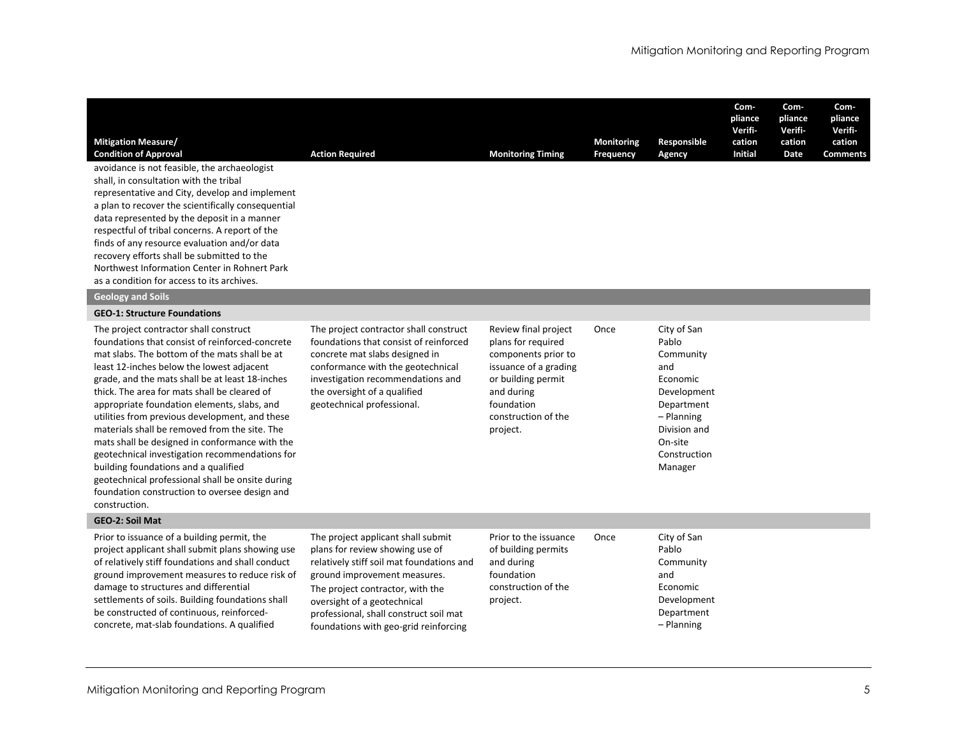| <b>Mitigation Measure/</b><br><b>Condition of Approval</b>                                                                                                                                                                                                                                                                                                                                                                                                                                                                                                                                                                                                                                                     | <b>Action Required</b>                                                                                                                                                                                                                                                                                   | <b>Monitoring Timing</b>                                                                                                                                                        | <b>Monitoring</b><br><b>Frequency</b> | Responsible<br>Agency                                                                                                                                 | Com-<br>pliance<br>Verifi-<br>cation<br><b>Initial</b> | Com-<br>pliance<br>Verifi-<br>cation<br>Date | Com-<br>pliance<br>Verifi-<br>cation<br><b>Comments</b> |
|----------------------------------------------------------------------------------------------------------------------------------------------------------------------------------------------------------------------------------------------------------------------------------------------------------------------------------------------------------------------------------------------------------------------------------------------------------------------------------------------------------------------------------------------------------------------------------------------------------------------------------------------------------------------------------------------------------------|----------------------------------------------------------------------------------------------------------------------------------------------------------------------------------------------------------------------------------------------------------------------------------------------------------|---------------------------------------------------------------------------------------------------------------------------------------------------------------------------------|---------------------------------------|-------------------------------------------------------------------------------------------------------------------------------------------------------|--------------------------------------------------------|----------------------------------------------|---------------------------------------------------------|
| avoidance is not feasible, the archaeologist<br>shall, in consultation with the tribal<br>representative and City, develop and implement<br>a plan to recover the scientifically consequential<br>data represented by the deposit in a manner<br>respectful of tribal concerns. A report of the<br>finds of any resource evaluation and/or data<br>recovery efforts shall be submitted to the<br>Northwest Information Center in Rohnert Park<br>as a condition for access to its archives.                                                                                                                                                                                                                    |                                                                                                                                                                                                                                                                                                          |                                                                                                                                                                                 |                                       |                                                                                                                                                       |                                                        |                                              |                                                         |
| <b>Geology and Soils</b>                                                                                                                                                                                                                                                                                                                                                                                                                                                                                                                                                                                                                                                                                       |                                                                                                                                                                                                                                                                                                          |                                                                                                                                                                                 |                                       |                                                                                                                                                       |                                                        |                                              |                                                         |
| <b>GEO-1: Structure Foundations</b>                                                                                                                                                                                                                                                                                                                                                                                                                                                                                                                                                                                                                                                                            |                                                                                                                                                                                                                                                                                                          |                                                                                                                                                                                 |                                       |                                                                                                                                                       |                                                        |                                              |                                                         |
| The project contractor shall construct<br>foundations that consist of reinforced-concrete<br>mat slabs. The bottom of the mats shall be at<br>least 12-inches below the lowest adjacent<br>grade, and the mats shall be at least 18-inches<br>thick. The area for mats shall be cleared of<br>appropriate foundation elements, slabs, and<br>utilities from previous development, and these<br>materials shall be removed from the site. The<br>mats shall be designed in conformance with the<br>geotechnical investigation recommendations for<br>building foundations and a qualified<br>geotechnical professional shall be onsite during<br>foundation construction to oversee design and<br>construction. | The project contractor shall construct<br>foundations that consist of reinforced<br>concrete mat slabs designed in<br>conformance with the geotechnical<br>investigation recommendations and<br>the oversight of a qualified<br>geotechnical professional.                                               | Review final project<br>plans for required<br>components prior to<br>issuance of a grading<br>or building permit<br>and during<br>foundation<br>construction of the<br>project. | Once                                  | City of San<br>Pablo<br>Community<br>and<br>Economic<br>Development<br>Department<br>- Planning<br>Division and<br>On-site<br>Construction<br>Manager |                                                        |                                              |                                                         |
| <b>GEO-2: Soil Mat</b>                                                                                                                                                                                                                                                                                                                                                                                                                                                                                                                                                                                                                                                                                         |                                                                                                                                                                                                                                                                                                          |                                                                                                                                                                                 |                                       |                                                                                                                                                       |                                                        |                                              |                                                         |
| Prior to issuance of a building permit, the<br>project applicant shall submit plans showing use<br>of relatively stiff foundations and shall conduct<br>ground improvement measures to reduce risk of<br>damage to structures and differential<br>settlements of soils. Building foundations shall<br>be constructed of continuous, reinforced-<br>concrete, mat-slab foundations. A qualified                                                                                                                                                                                                                                                                                                                 | The project applicant shall submit<br>plans for review showing use of<br>relatively stiff soil mat foundations and<br>ground improvement measures.<br>The project contractor, with the<br>oversight of a geotechnical<br>professional, shall construct soil mat<br>foundations with geo-grid reinforcing | Prior to the issuance<br>of building permits<br>and during<br>foundation<br>construction of the<br>project.                                                                     | Once                                  | City of San<br>Pablo<br>Community<br>and<br>Economic<br>Development<br>Department<br>- Planning                                                       |                                                        |                                              |                                                         |

foundations with geo‐grid reinforcing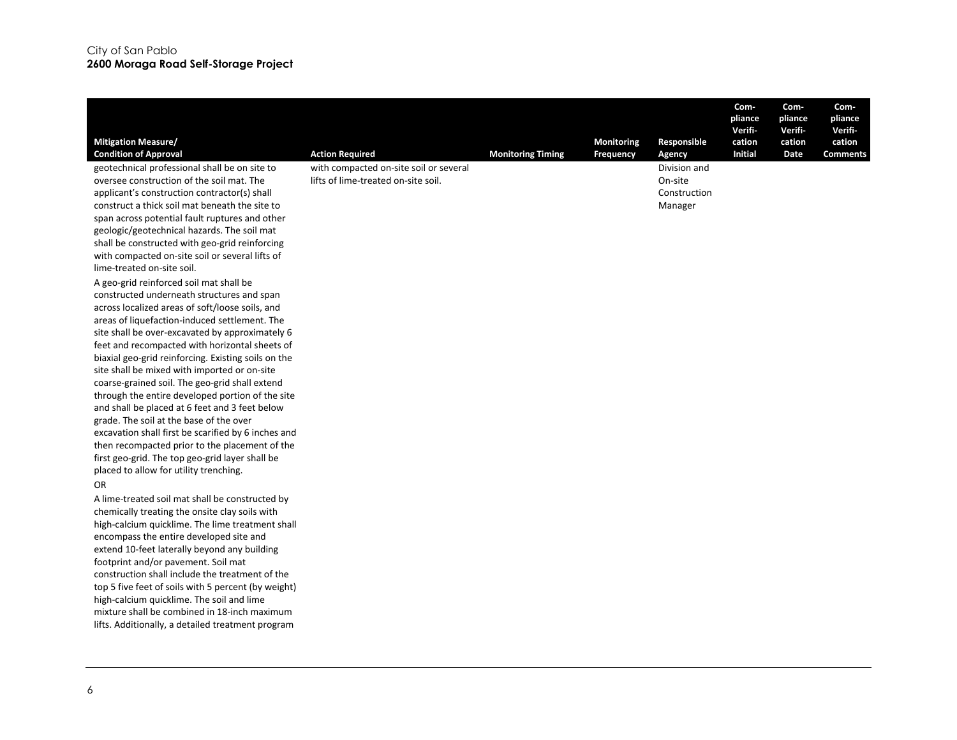| <b>Mitigation Measure/</b><br><b>Condition of Approval</b><br>geotechnical professional shall be on site to<br>oversee construction of the soil mat. The<br>applicant's construction contractor(s) shall<br>construct a thick soil mat beneath the site to<br>span across potential fault ruptures and other<br>geologic/geotechnical hazards. The soil mat<br>shall be constructed with geo-grid reinforcing<br>with compacted on-site soil or several lifts of<br>lime-treated on-site soil.<br>A geo-grid reinforced soil mat shall be<br>constructed underneath structures and span<br>across localized areas of soft/loose soils, and<br>areas of liquefaction-induced settlement. The<br>site shall be over-excavated by approximately 6 | <b>Action Required</b><br>with compacted on-site soil or several<br>lifts of lime-treated on-site soil. | <b>Monitoring Timing</b> | Monitoring<br>Frequency | Responsible<br>Agency<br>Division and<br>On-site<br>Construction<br>Manager | Com-<br>pliance<br><b>Verifi</b><br>cation<br><b>Initial</b> | Com-<br>pliance<br>Verifi-<br>cation<br>Date | Com-<br>pliance<br>Verifi-<br>cation<br><b>Comments</b> |
|------------------------------------------------------------------------------------------------------------------------------------------------------------------------------------------------------------------------------------------------------------------------------------------------------------------------------------------------------------------------------------------------------------------------------------------------------------------------------------------------------------------------------------------------------------------------------------------------------------------------------------------------------------------------------------------------------------------------------------------------|---------------------------------------------------------------------------------------------------------|--------------------------|-------------------------|-----------------------------------------------------------------------------|--------------------------------------------------------------|----------------------------------------------|---------------------------------------------------------|
| and shall be placed at 6 feet and 3 feet below<br>grade. The soil at the base of the over<br>excavation shall first be scarified by 6 inches and<br>then recompacted prior to the placement of the<br>first geo-grid. The top geo-grid layer shall be<br>placed to allow for utility trenching.<br><b>OR</b><br>A lime-treated soil mat shall be constructed by<br>chemically treating the onsite clay soils with<br>high-calcium quicklime. The lime treatment shall<br>encompass the entire developed site and<br>extend 10-feet laterally beyond any building<br>footprint and/or pavement. Soil mat<br>construction shall include the treatment of the<br>top 5 five feet of soils with 5 percent (by weight)                              |                                                                                                         |                          |                         |                                                                             |                                                              |                                              |                                                         |
| high-calcium quicklime. The soil and lime<br>mixture shall be combined in 18-inch maximum<br>lifts. Additionally, a detailed treatment program                                                                                                                                                                                                                                                                                                                                                                                                                                                                                                                                                                                                 |                                                                                                         |                          |                         |                                                                             |                                                              |                                              |                                                         |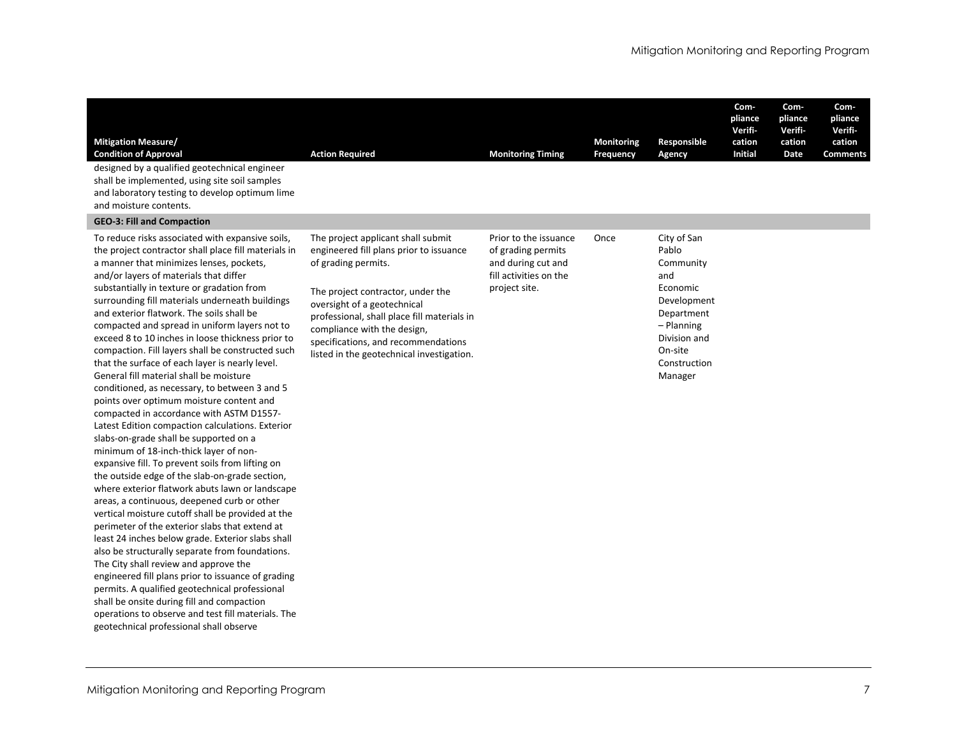| <b>Mitigation Measure/</b><br><b>Condition of Approval</b><br>designed by a qualified geotechnical engineer<br>shall be implemented, using site soil samples<br>and laboratory testing to develop optimum lime                                                                                                                                                                                                                                                                                                                                                                                                                                                                                                                                                                                                                                                                                                                                                                                                                                                                                                                                                                                                                                                                                                                                                                                                                                                 | <b>Action Required</b>                                                                                                                                                                                                                                                                                                                     | <b>Monitoring Timing</b>                                                                                     | <b>Monitoring</b><br>Frequency | Responsible<br>Agency                                                                                                                                   | Com-<br>pliance<br>Verifi-<br>cation<br><b>Initial</b> | Com-<br>pliance<br>Verifi-<br>cation<br>Date | Com-<br>pliance<br>Verifi-<br>cation<br><b>Comments</b> |
|----------------------------------------------------------------------------------------------------------------------------------------------------------------------------------------------------------------------------------------------------------------------------------------------------------------------------------------------------------------------------------------------------------------------------------------------------------------------------------------------------------------------------------------------------------------------------------------------------------------------------------------------------------------------------------------------------------------------------------------------------------------------------------------------------------------------------------------------------------------------------------------------------------------------------------------------------------------------------------------------------------------------------------------------------------------------------------------------------------------------------------------------------------------------------------------------------------------------------------------------------------------------------------------------------------------------------------------------------------------------------------------------------------------------------------------------------------------|--------------------------------------------------------------------------------------------------------------------------------------------------------------------------------------------------------------------------------------------------------------------------------------------------------------------------------------------|--------------------------------------------------------------------------------------------------------------|--------------------------------|---------------------------------------------------------------------------------------------------------------------------------------------------------|--------------------------------------------------------|----------------------------------------------|---------------------------------------------------------|
| and moisture contents.<br><b>GEO-3: Fill and Compaction</b>                                                                                                                                                                                                                                                                                                                                                                                                                                                                                                                                                                                                                                                                                                                                                                                                                                                                                                                                                                                                                                                                                                                                                                                                                                                                                                                                                                                                    |                                                                                                                                                                                                                                                                                                                                            |                                                                                                              |                                |                                                                                                                                                         |                                                        |                                              |                                                         |
| To reduce risks associated with expansive soils,<br>the project contractor shall place fill materials in<br>a manner that minimizes lenses, pockets,<br>and/or layers of materials that differ<br>substantially in texture or gradation from<br>surrounding fill materials underneath buildings<br>and exterior flatwork. The soils shall be<br>compacted and spread in uniform layers not to<br>exceed 8 to 10 inches in loose thickness prior to<br>compaction. Fill layers shall be constructed such<br>that the surface of each layer is nearly level.<br>General fill material shall be moisture<br>conditioned, as necessary, to between 3 and 5<br>points over optimum moisture content and<br>compacted in accordance with ASTM D1557-<br>Latest Edition compaction calculations. Exterior<br>slabs-on-grade shall be supported on a<br>minimum of 18-inch-thick layer of non-<br>expansive fill. To prevent soils from lifting on<br>the outside edge of the slab-on-grade section,<br>where exterior flatwork abuts lawn or landscape<br>areas, a continuous, deepened curb or other<br>vertical moisture cutoff shall be provided at the<br>perimeter of the exterior slabs that extend at<br>least 24 inches below grade. Exterior slabs shall<br>also be structurally separate from foundations.<br>The City shall review and approve the<br>engineered fill plans prior to issuance of grading<br>permits. A qualified geotechnical professional | The project applicant shall submit<br>engineered fill plans prior to issuance<br>of grading permits.<br>The project contractor, under the<br>oversight of a geotechnical<br>professional, shall place fill materials in<br>compliance with the design,<br>specifications, and recommendations<br>listed in the geotechnical investigation. | Prior to the issuance<br>of grading permits<br>and during cut and<br>fill activities on the<br>project site. | Once                           | City of San<br>Pablo<br>Community<br>and<br>Economic<br>Development<br>Department<br>$-$ Planning<br>Division and<br>On-site<br>Construction<br>Manager |                                                        |                                              |                                                         |

shall be onsite during fill and compaction operations to observe and test fill materials. The

geotechnical professional shall observe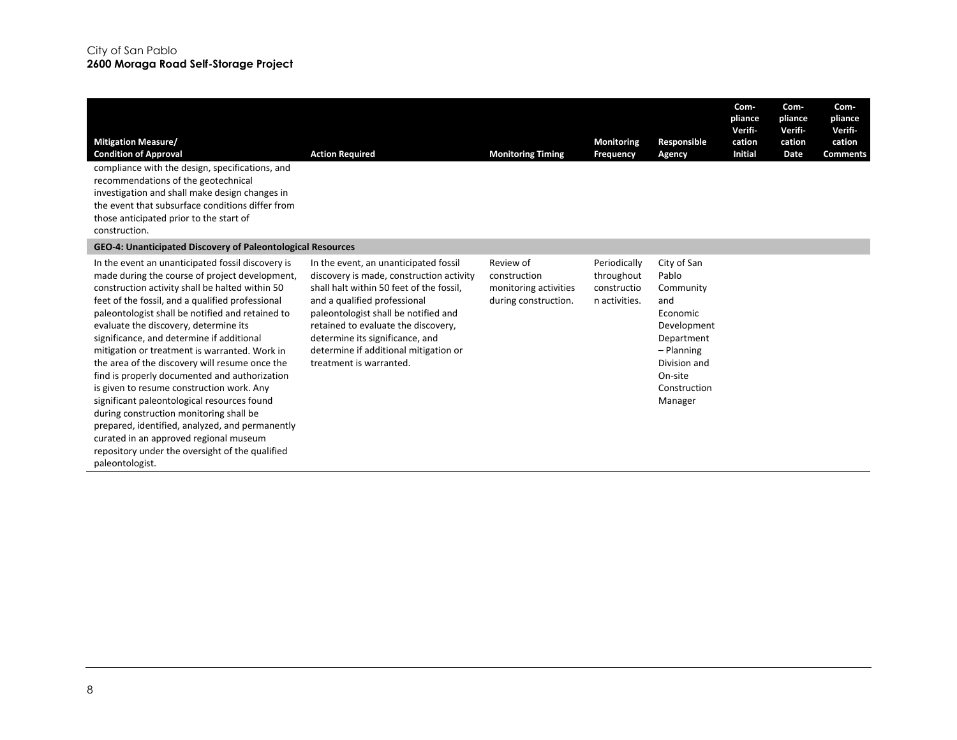| <b>Mitigation Measure/</b><br><b>Condition of Approval</b><br>compliance with the design, specifications, and<br>recommendations of the geotechnical<br>investigation and shall make design changes in<br>the event that subsurface conditions differ from<br>those anticipated prior to the start of<br>construction.                                                                                                                                                                                                                                                                                                                                                                                                                                                                                             | <b>Action Required</b>                                                                                                                                                                                                                                                                                                                              | <b>Monitoring Timing</b>                                                   | Monitoring<br>Frequency                                    | Responsible<br>Agency                                                                                                                                 | Com-<br>pliance<br>Verifi-<br>cation<br><b>Initial</b> | Com-<br>pliance<br>Verifi-<br>cation<br>Date | Com-<br>pliance<br>Verifi-<br>cation<br><b>Comments</b> |
|--------------------------------------------------------------------------------------------------------------------------------------------------------------------------------------------------------------------------------------------------------------------------------------------------------------------------------------------------------------------------------------------------------------------------------------------------------------------------------------------------------------------------------------------------------------------------------------------------------------------------------------------------------------------------------------------------------------------------------------------------------------------------------------------------------------------|-----------------------------------------------------------------------------------------------------------------------------------------------------------------------------------------------------------------------------------------------------------------------------------------------------------------------------------------------------|----------------------------------------------------------------------------|------------------------------------------------------------|-------------------------------------------------------------------------------------------------------------------------------------------------------|--------------------------------------------------------|----------------------------------------------|---------------------------------------------------------|
| GEO-4: Unanticipated Discovery of Paleontological Resources                                                                                                                                                                                                                                                                                                                                                                                                                                                                                                                                                                                                                                                                                                                                                        |                                                                                                                                                                                                                                                                                                                                                     |                                                                            |                                                            |                                                                                                                                                       |                                                        |                                              |                                                         |
| In the event an unanticipated fossil discovery is<br>made during the course of project development,<br>construction activity shall be halted within 50<br>feet of the fossil, and a qualified professional<br>paleontologist shall be notified and retained to<br>evaluate the discovery, determine its<br>significance, and determine if additional<br>mitigation or treatment is warranted. Work in<br>the area of the discovery will resume once the<br>find is properly documented and authorization<br>is given to resume construction work. Any<br>significant paleontological resources found<br>during construction monitoring shall be<br>prepared, identified, analyzed, and permanently<br>curated in an approved regional museum<br>repository under the oversight of the qualified<br>paleontologist. | In the event, an unanticipated fossil<br>discovery is made, construction activity<br>shall halt within 50 feet of the fossil.<br>and a qualified professional<br>paleontologist shall be notified and<br>retained to evaluate the discovery,<br>determine its significance, and<br>determine if additional mitigation or<br>treatment is warranted. | Review of<br>construction<br>monitoring activities<br>during construction. | Periodically<br>throughout<br>constructio<br>n activities. | City of San<br>Pablo<br>Community<br>and<br>Economic<br>Development<br>Department<br>- Planning<br>Division and<br>On-site<br>Construction<br>Manager |                                                        |                                              |                                                         |